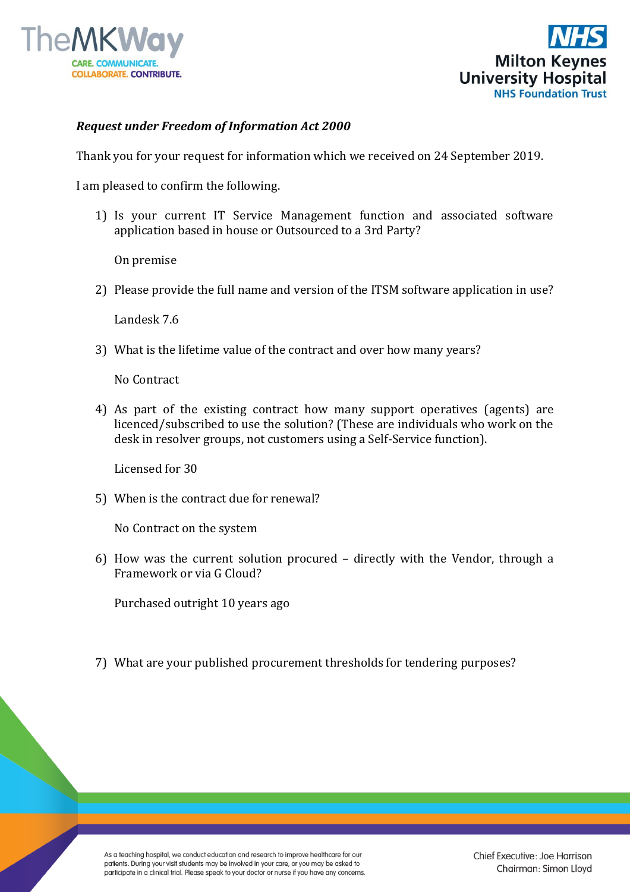



## *Request under Freedom of Information Act 2000*

Thank you for your request for information which we received on 24 September 2019.

I am pleased to confirm the following.

1) Is your current IT Service Management function and associated software application based in house or Outsourced to a 3rd Party?

On premise

2) Please provide the full name and version of the ITSM software application in use?

Landesk 7.6

3) What is the lifetime value of the contract and over how many years?

No Contract

4) As part of the existing contract how many support operatives (agents) are licenced/subscribed to use the solution? (These are individuals who work on the desk in resolver groups, not customers using a Self-Service function).

Licensed for 30

5) When is the contract due for renewal?

No Contract on the system

6) How was the current solution procured – directly with the Vendor, through a Framework or via G Cloud?

Purchased outright 10 years ago

7) What are your published procurement thresholds for tendering purposes?

As a teaching hospital, we conduct education and research to improve healthcare for our patients. During your visit students may be involved in your care, or you may be asked to participate in a clinical trial. Please speak to your doctor or nurse if you have any concerns.